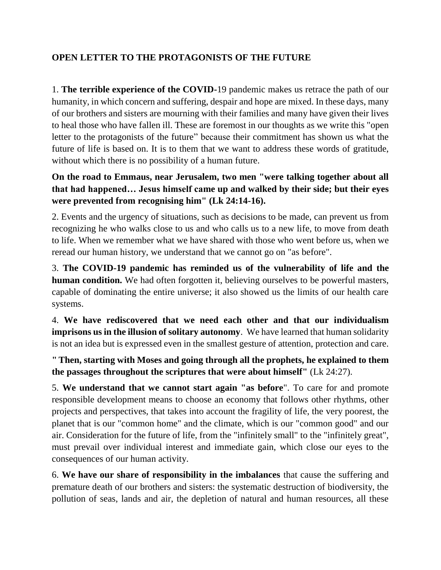## **OPEN LETTER TO THE PROTAGONISTS OF THE FUTURE**

1. **The terrible experience of the COVID-**19 pandemic makes us retrace the path of our humanity, in which concern and suffering, despair and hope are mixed. In these days, many of our brothers and sisters are mourning with their families and many have given their lives to heal those who have fallen ill. These are foremost in our thoughts as we write this "open letter to the protagonists of the future" because their commitment has shown us what the future of life is based on. It is to them that we want to address these words of gratitude, without which there is no possibility of a human future.

## **On the road to Emmaus, near Jerusalem, two men "were talking together about all that had happened… Jesus himself came up and walked by their side; but their eyes were prevented from recognising him" (Lk 24:14-16).**

2. Events and the urgency of situations, such as decisions to be made, can prevent us from recognizing he who walks close to us and who calls us to a new life, to move from death to life. When we remember what we have shared with those who went before us, when we reread our human history, we understand that we cannot go on "as before".

3. **The COVID-19 pandemic has reminded us of the vulnerability of life and the human condition.** We had often forgotten it, believing ourselves to be powerful masters, capable of dominating the entire universe; it also showed us the limits of our health care systems.

4. **We have rediscovered that we need each other and that our individualism imprisons us in the illusion of solitary autonomy**. We have learned that human solidarity is not an idea but is expressed even in the smallest gesture of attention, protection and care.

**" Then, starting with Moses and going through all the prophets, he explained to them the passages throughout the scriptures that were about himself"** (Lk 24:27).

5. **We understand that we cannot start again "as before**". To care for and promote responsible development means to choose an economy that follows other rhythms, other projects and perspectives, that takes into account the fragility of life, the very poorest, the planet that is our "common home" and the climate, which is our "common good" and our air. Consideration for the future of life, from the "infinitely small" to the "infinitely great", must prevail over individual interest and immediate gain, which close our eyes to the consequences of our human activity.

6. **We have our share of responsibility in the imbalances** that cause the suffering and premature death of our brothers and sisters: the systematic destruction of biodiversity, the pollution of seas, lands and air, the depletion of natural and human resources, all these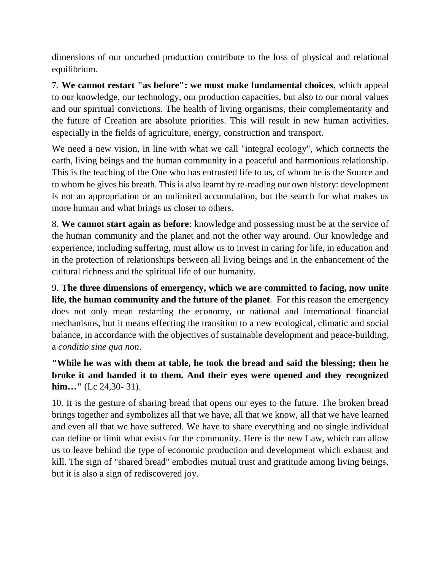dimensions of our uncurbed production contribute to the loss of physical and relational equilibrium.

7. **We cannot restart "as before": we must make fundamental choices**, which appeal to our knowledge, our technology, our production capacities, but also to our moral values and our spiritual convictions. The health of living organisms, their complementarity and the future of Creation are absolute priorities. This will result in new human activities, especially in the fields of agriculture, energy, construction and transport.

We need a new vision, in line with what we call "integral ecology", which connects the earth, living beings and the human community in a peaceful and harmonious relationship. This is the teaching of the One who has entrusted life to us, of whom he is the Source and to whom he gives his breath. This is also learnt by re-reading our own history: development is not an appropriation or an unlimited accumulation, but the search for what makes us more human and what brings us closer to others.

8. **We cannot start again as before**: knowledge and possessing must be at the service of the human community and the planet and not the other way around. Our knowledge and experience, including suffering, must allow us to invest in caring for life, in education and in the protection of relationships between all living beings and in the enhancement of the cultural richness and the spiritual life of our humanity.

9. **The three dimensions of emergency, which we are committed to facing, now unite life, the human community and the future of the planet**. For this reason the emergency does not only mean restarting the economy, or national and international financial mechanisms, but it means effecting the transition to a new ecological, climatic and social balance, in accordance with the objectives of sustainable development and peace-building, a *conditio sine qua non*.

**"While he was with them at table, he took the bread and said the blessing; then he broke it and handed it to them. And their eyes were opened and they recognized him…"** (Lc 24,30- 31).

10. It is the gesture of sharing bread that opens our eyes to the future. The broken bread brings together and symbolizes all that we have, all that we know, all that we have learned and even all that we have suffered. We have to share everything and no single individual can define or limit what exists for the community. Here is the new Law, which can allow us to leave behind the type of economic production and development which exhaust and kill. The sign of "shared bread" embodies mutual trust and gratitude among living beings, but it is also a sign of rediscovered joy.